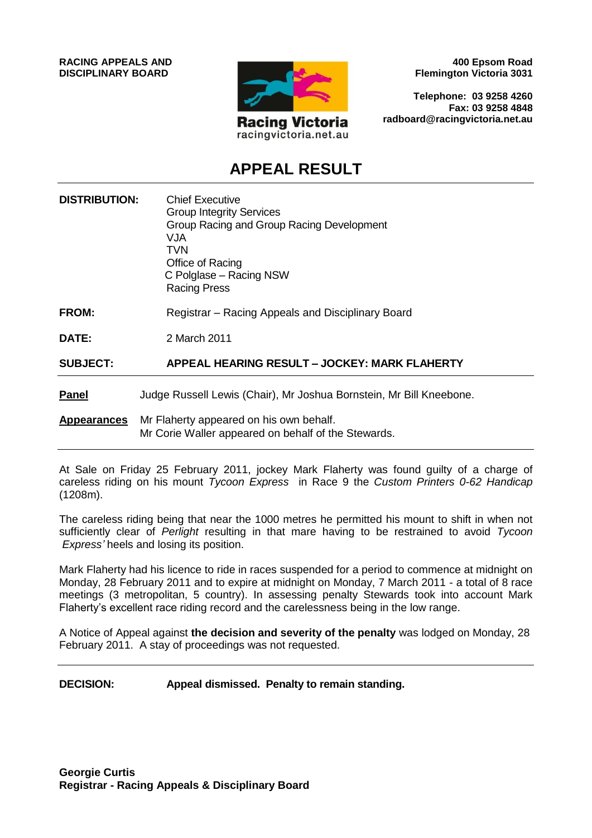

**400 Epsom Road Flemington Victoria 3031**

**Telephone: 03 9258 4260 Fax: 03 9258 4848 radboard@racingvictoria.net.au**

# **APPEAL RESULT**

| <b>DISTRIBUTION:</b> | <b>Chief Executive</b><br><b>Group Integrity Services</b><br>Group Racing and Group Racing Development<br><b>VJA</b><br><b>TVN</b><br>Office of Racing<br>C Polglase - Racing NSW<br><b>Racing Press</b> |
|----------------------|----------------------------------------------------------------------------------------------------------------------------------------------------------------------------------------------------------|
| FROM:                | Registrar – Racing Appeals and Disciplinary Board                                                                                                                                                        |
| <b>DATE:</b>         | 2 March 2011                                                                                                                                                                                             |
| <b>SUBJECT:</b>      | <b>APPEAL HEARING RESULT - JOCKEY: MARK FLAHERTY</b>                                                                                                                                                     |
| <b>Panel</b>         | Judge Russell Lewis (Chair), Mr Joshua Bornstein, Mr Bill Kneebone.                                                                                                                                      |
| <b>Appearances</b>   | Mr Flaherty appeared on his own behalf.<br>Mr Corie Waller appeared on behalf of the Stewards.                                                                                                           |

At Sale on Friday 25 February 2011, jockey Mark Flaherty was found guilty of a charge of careless riding on his mount *Tycoon Express* in Race 9 the *Custom Printers 0-62 Handicap*  (1208m).

The careless riding being that near the 1000 metres he permitted his mount to shift in when not sufficiently clear of *Perlight* resulting in that mare having to be restrained to avoid *Tycoon Express'* heels and losing its position.

Mark Flaherty had his licence to ride in races suspended for a period to commence at midnight on Monday, 28 February 2011 and to expire at midnight on Monday, 7 March 2011 - a total of 8 race meetings (3 metropolitan, 5 country). In assessing penalty Stewards took into account Mark Flaherty's excellent race riding record and the carelessness being in the low range.

A Notice of Appeal against **the decision and severity of the penalty** was lodged on Monday, 28 February 2011. A stay of proceedings was not requested.

**DECISION: Appeal dismissed. Penalty to remain standing.**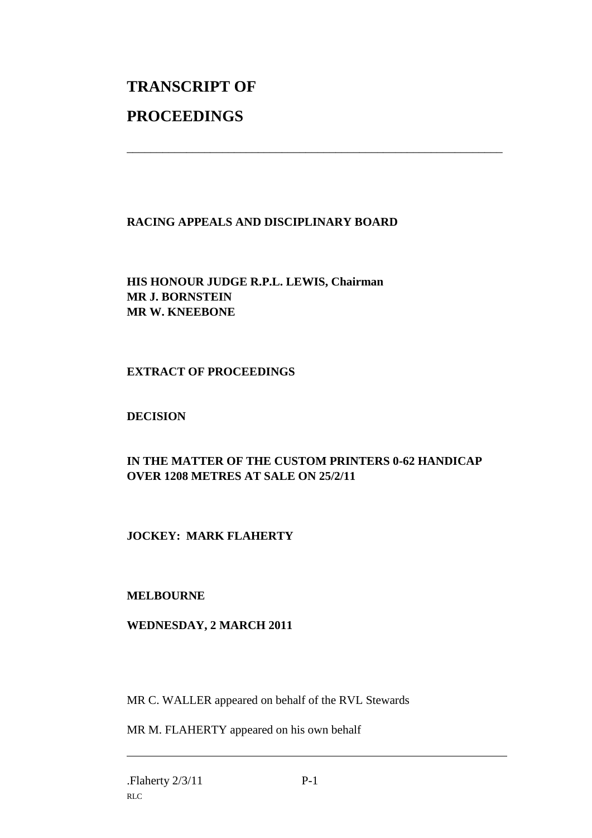# **TRANSCRIPT OF PROCEEDINGS**

# **RACING APPEALS AND DISCIPLINARY BOARD**

\_\_\_\_\_\_\_\_\_\_\_\_\_\_\_\_\_\_\_\_\_\_\_\_\_\_\_\_\_\_\_\_\_\_\_\_\_\_\_\_\_\_\_\_\_\_\_\_\_\_\_\_\_\_\_\_\_\_\_\_\_\_\_

**HIS HONOUR JUDGE R.P.L. LEWIS, Chairman MR J. BORNSTEIN MR W. KNEEBONE**

# **EXTRACT OF PROCEEDINGS**

# **DECISION**

# **IN THE MATTER OF THE CUSTOM PRINTERS 0-62 HANDICAP OVER 1208 METRES AT SALE ON 25/2/11**

# **JOCKEY: MARK FLAHERTY**

### **MELBOURNE**

### **WEDNESDAY, 2 MARCH 2011**

MR C. WALLER appeared on behalf of the RVL Stewards

MR M. FLAHERTY appeared on his own behalf